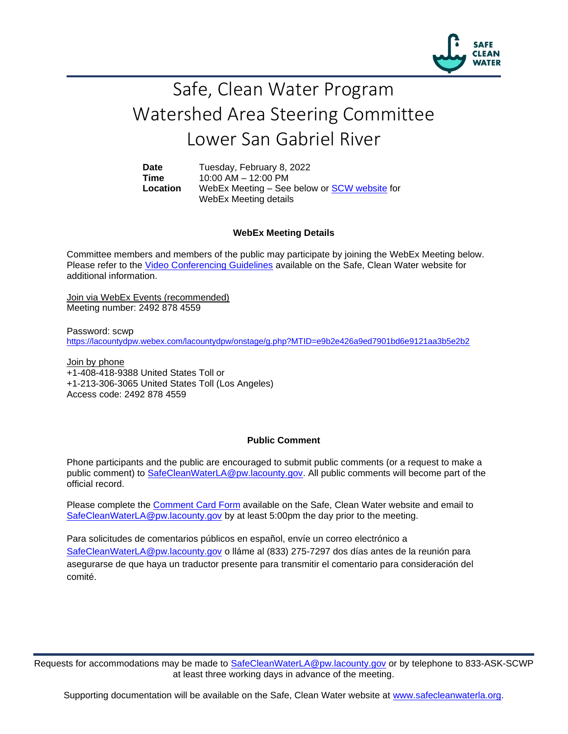

## Safe, Clean Water Program Watershed Area Steering Committee Lower San Gabriel River

**Date** Tuesday, February 8, 2022 **Time** 10:00 AM – 12:00 PM **Location** WebEx Meeting – See below or [SCW website](https://safecleanwaterla.org/lower-san-gabriel-river-watershed-area/) for WebEx Meeting details

## **WebEx Meeting Details**

Committee members and members of the public may participate by joining the WebEx Meeting below. Please refer to the [Video Conferencing Guidelines](https://safecleanwaterla.org/video-conference-guidelines/) available on the Safe, Clean Water website for additional information.

Join via WebEx Events (recommended) Meeting number: 2492 878 4559

Password: scwp <https://lacountydpw.webex.com/lacountydpw/onstage/g.php?MTID=e9b2e426a9ed7901bd6e9121aa3b5e2b2>

Join by phone +1-408-418-9388 United States Toll or +1-213-306-3065 United States Toll (Los Angeles) Access code: 2492 878 4559

## **Public Comment**

Phone participants and the public are encouraged to submit public comments (or a request to make a public comment) to [SafeCleanWaterLA@pw.lacounty.gov.](mailto:SafeCleanWaterLA@pw.lacounty.gov) All public comments will become part of the official record.

Please complete the Comment [Card Form](https://safecleanwaterla.org/wp-content/uploads/2020/04/Comment-Card-Form.pdf) available on the Safe, Clean Water website and email to [SafeCleanWaterLA@pw.lacounty.gov](mailto:SafeCleanWaterLA@pw.lacounty.govb) by at least 5:00pm the day prior to the meeting.

Para solicitudes de comentarios públicos en español, envíe un correo electrónico a [SafeCleanWaterLA@pw.lacounty.gov](mailto:SafeCleanWaterLA@pw.lacounty.gov) o lláme al (833) 275-7297 dos días antes de la reunión para asegurarse de que haya un traductor presente para transmitir el comentario para consideración del comité.

Requests for accommodations may be made to [SafeCleanWaterLA@pw.lacounty.gov](mailto:SafeCleanWaterLA@pw.lacounty.gov) or by telephone to 833-ASK-SCWP at least three working days in advance of the meeting.

Supporting documentation will be available on the Safe, Clean Water website at [www.safecleanwaterla.org.](http://www.safecleanwaterla.org/)